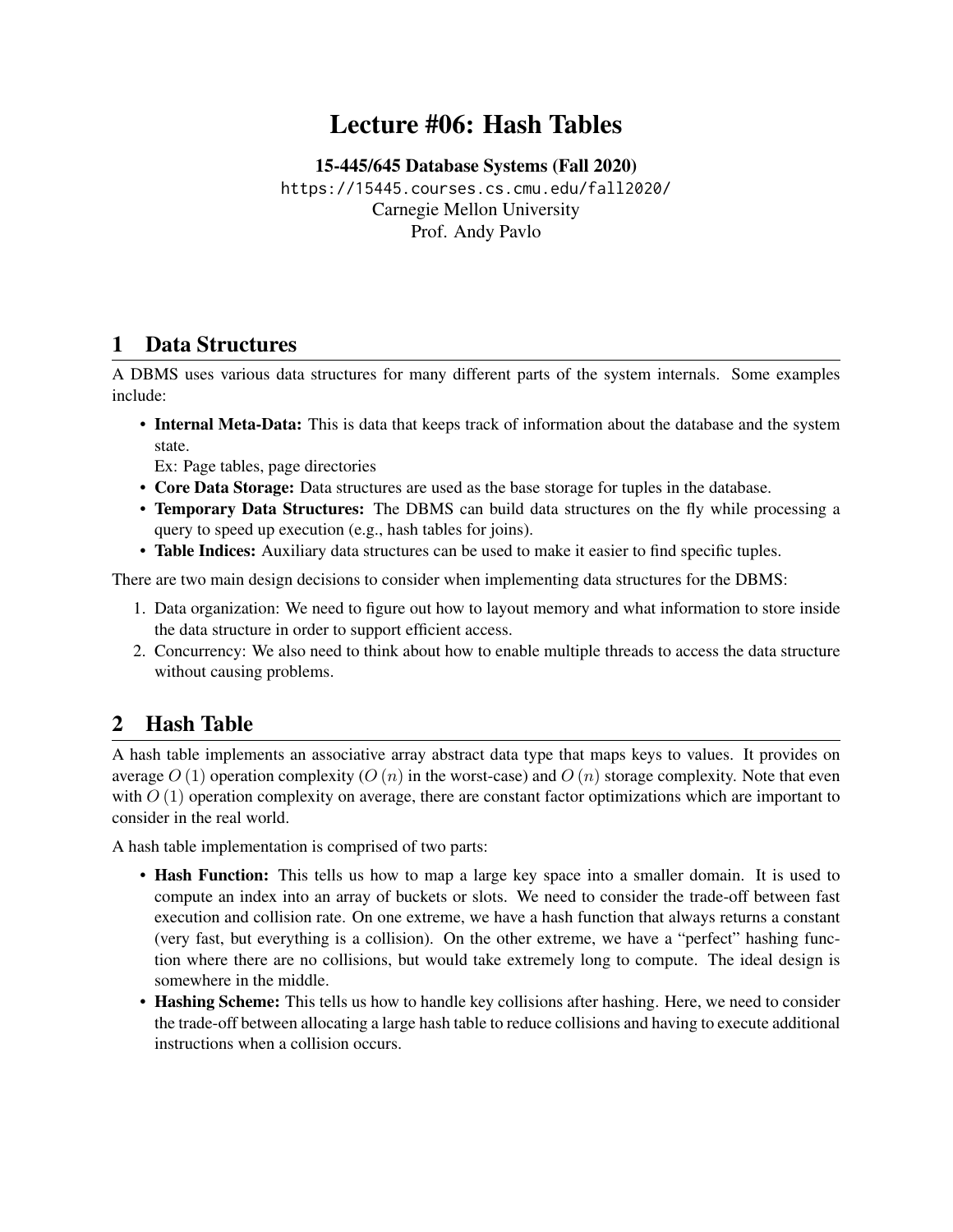# Lecture #06: Hash Tables

[15-445/645 Database Systems \(Fall 2020\)](https://15445.courses.cs.cmu.edu/fall2020/) <https://15445.courses.cs.cmu.edu/fall2020/> Carnegie Mellon University [Prof. Andy Pavlo](http://www.cs.cmu.edu/~pavlo/)

### 1 Data Structures

A DBMS uses various data structures for many different parts of the system internals. Some examples include:

• Internal Meta-Data: This is data that keeps track of information about the database and the system state.

Ex: Page tables, page directories

- Core Data Storage: Data structures are used as the base storage for tuples in the database.
- Temporary Data Structures: The DBMS can build data structures on the fly while processing a query to speed up execution (e.g., hash tables for joins).
- Table Indices: Auxiliary data structures can be used to make it easier to find specific tuples.

There are two main design decisions to consider when implementing data structures for the DBMS:

- 1. Data organization: We need to figure out how to layout memory and what information to store inside the data structure in order to support efficient access.
- 2. Concurrency: We also need to think about how to enable multiple threads to access the data structure without causing problems.

# 2 Hash Table

A hash table implements an associative array abstract data type that maps keys to values. It provides on average  $O(1)$  operation complexity  $(O(n))$  in the worst-case) and  $O(n)$  storage complexity. Note that even with  $O(1)$  operation complexity on average, there are constant factor optimizations which are important to consider in the real world.

A hash table implementation is comprised of two parts:

- Hash Function: This tells us how to map a large key space into a smaller domain. It is used to compute an index into an array of buckets or slots. We need to consider the trade-off between fast execution and collision rate. On one extreme, we have a hash function that always returns a constant (very fast, but everything is a collision). On the other extreme, we have a "perfect" hashing function where there are no collisions, but would take extremely long to compute. The ideal design is somewhere in the middle.
- Hashing Scheme: This tells us how to handle key collisions after hashing. Here, we need to consider the trade-off between allocating a large hash table to reduce collisions and having to execute additional instructions when a collision occurs.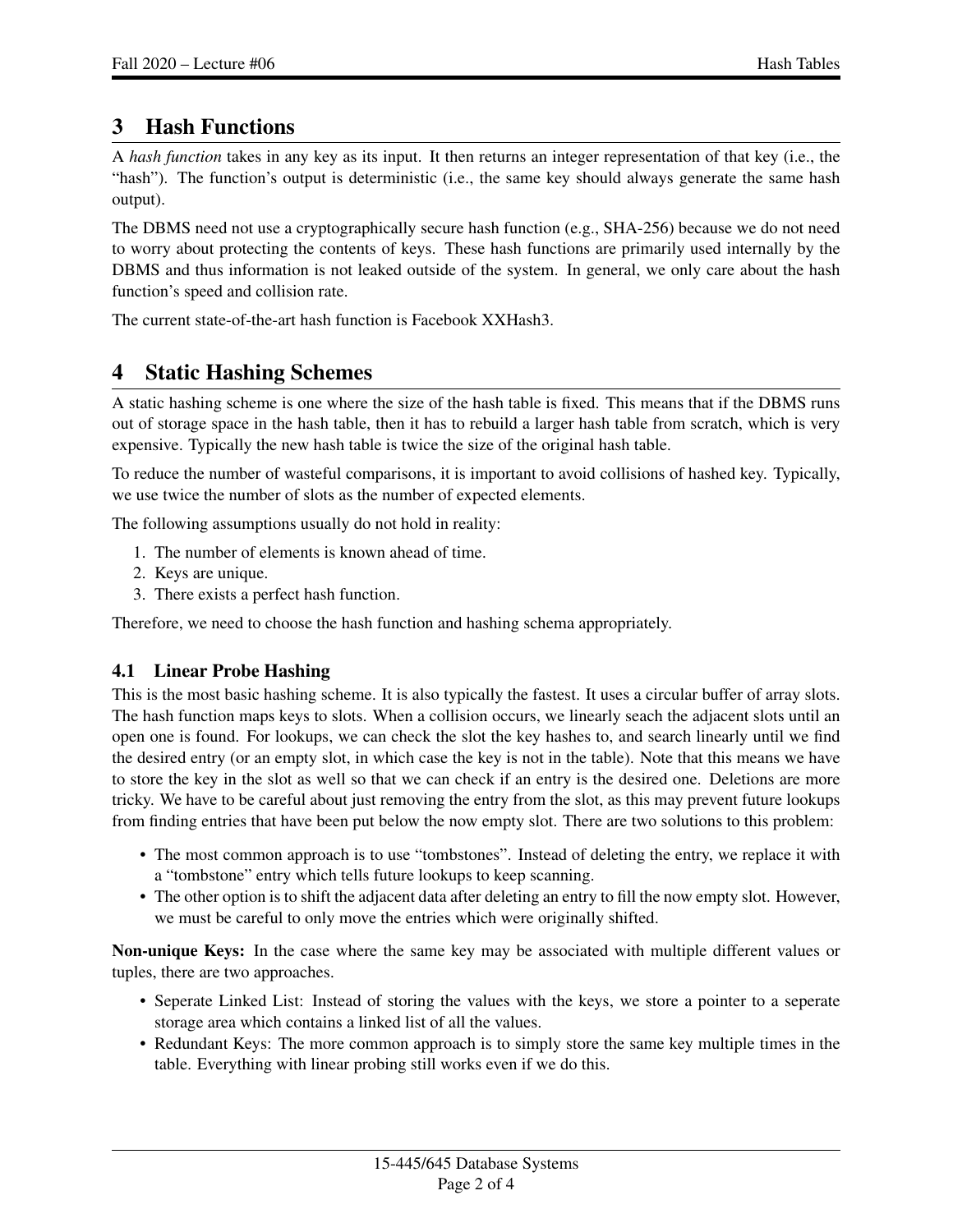## 3 Hash Functions

A *hash function* takes in any key as its input. It then returns an integer representation of that key (i.e., the "hash"). The function's output is deterministic (i.e., the same key should always generate the same hash output).

The DBMS need not use a cryptographically secure hash function (e.g., SHA-256) because we do not need to worry about protecting the contents of keys. These hash functions are primarily used internally by the DBMS and thus information is not leaked outside of the system. In general, we only care about the hash function's speed and collision rate.

The current state-of-the-art hash function is [Facebook XXHash3.](http://www.xxhash.com/)

## 4 Static Hashing Schemes

A static hashing scheme is one where the size of the hash table is fixed. This means that if the DBMS runs out of storage space in the hash table, then it has to rebuild a larger hash table from scratch, which is very expensive. Typically the new hash table is twice the size of the original hash table.

To reduce the number of wasteful comparisons, it is important to avoid collisions of hashed key. Typically, we use twice the number of slots as the number of expected elements.

The following assumptions usually do not hold in reality:

- 1. The number of elements is known ahead of time.
- 2. Keys are unique.
- 3. There exists a perfect hash function.

Therefore, we need to choose the hash function and hashing schema appropriately.

#### 4.1 Linear Probe Hashing

This is the most basic hashing scheme. It is also typically the fastest. It uses a circular buffer of array slots. The hash function maps keys to slots. When a collision occurs, we linearly seach the adjacent slots until an open one is found. For lookups, we can check the slot the key hashes to, and search linearly until we find the desired entry (or an empty slot, in which case the key is not in the table). Note that this means we have to store the key in the slot as well so that we can check if an entry is the desired one. Deletions are more tricky. We have to be careful about just removing the entry from the slot, as this may prevent future lookups from finding entries that have been put below the now empty slot. There are two solutions to this problem:

- The most common approach is to use "tombstones". Instead of deleting the entry, we replace it with a "tombstone" entry which tells future lookups to keep scanning.
- The other option is to shift the adjacent data after deleting an entry to fill the now empty slot. However, we must be careful to only move the entries which were originally shifted.

Non-unique Keys: In the case where the same key may be associated with multiple different values or tuples, there are two approaches.

- Seperate Linked List: Instead of storing the values with the keys, we store a pointer to a seperate storage area which contains a linked list of all the values.
- Redundant Keys: The more common approach is to simply store the same key multiple times in the table. Everything with linear probing still works even if we do this.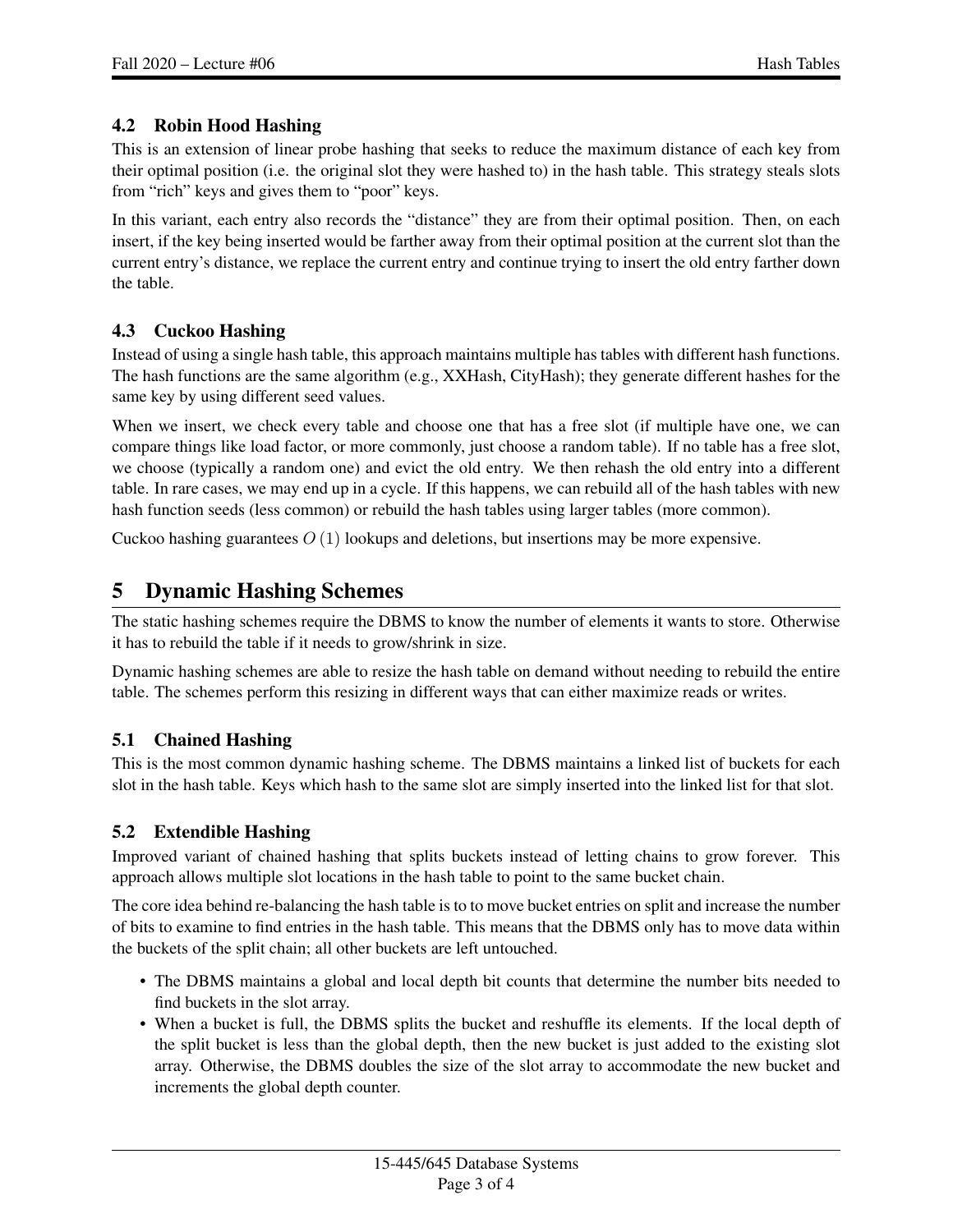#### 4.2 Robin Hood Hashing

This is an extension of linear probe hashing that seeks to reduce the maximum distance of each key from their optimal position (i.e. the original slot they were hashed to) in the hash table. This strategy steals slots from "rich" keys and gives them to "poor" keys.

In this variant, each entry also records the "distance" they are from their optimal position. Then, on each insert, if the key being inserted would be farther away from their optimal position at the current slot than the current entry's distance, we replace the current entry and continue trying to insert the old entry farther down the table.

#### 4.3 Cuckoo Hashing

Instead of using a single hash table, this approach maintains multiple has tables with different hash functions. The hash functions are the same algorithm (e.g., XXHash, CityHash); they generate different hashes for the same key by using different seed values.

When we insert, we check every table and choose one that has a free slot (if multiple have one, we can compare things like load factor, or more commonly, just choose a random table). If no table has a free slot, we choose (typically a random one) and evict the old entry. We then rehash the old entry into a different table. In rare cases, we may end up in a cycle. If this happens, we can rebuild all of the hash tables with new hash function seeds (less common) or rebuild the hash tables using larger tables (more common).

Cuckoo hashing guarantees  $O(1)$  lookups and deletions, but insertions may be more expensive.

### 5 Dynamic Hashing Schemes

The static hashing schemes require the DBMS to know the number of elements it wants to store. Otherwise it has to rebuild the table if it needs to grow/shrink in size.

Dynamic hashing schemes are able to resize the hash table on demand without needing to rebuild the entire table. The schemes perform this resizing in different ways that can either maximize reads or writes.

#### 5.1 Chained Hashing

This is the most common dynamic hashing scheme. The DBMS maintains a linked list of buckets for each slot in the hash table. Keys which hash to the same slot are simply inserted into the linked list for that slot.

#### 5.2 Extendible Hashing

Improved variant of chained hashing that splits buckets instead of letting chains to grow forever. This approach allows multiple slot locations in the hash table to point to the same bucket chain.

The core idea behind re-balancing the hash table is to to move bucket entries on split and increase the number of bits to examine to find entries in the hash table. This means that the DBMS only has to move data within the buckets of the split chain; all other buckets are left untouched.

- The DBMS maintains a global and local depth bit counts that determine the number bits needed to find buckets in the slot array.
- When a bucket is full, the DBMS splits the bucket and reshuffle its elements. If the local depth of the split bucket is less than the global depth, then the new bucket is just added to the existing slot array. Otherwise, the DBMS doubles the size of the slot array to accommodate the new bucket and increments the global depth counter.